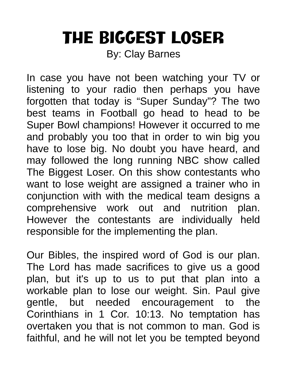## The Biggest Loser

By: Clay Barnes

In case you have not been watching your TV or listening to your radio then perhaps you have forgotten that today is "Super Sunday"? The two best teams in Football go head to head to be Super Bowl champions! However it occurred to me and probably you too that in order to win big you have to lose big. No doubt you have heard, and may followed the long running NBC show called The Biggest Loser. On this show contestants who want to lose weight are assigned a trainer who in conjunction with with the medical team designs a comprehensive work out and nutrition plan. However the contestants are individually held responsible for the implementing the plan.

Our Bibles, the inspired word of God is our plan. The Lord has made sacrifices to give us a good plan, but it's up to us to put that plan into a workable plan to lose our weight. Sin. Paul give gentle, but needed encouragement to the Corinthians in 1 Cor. 10:13. No temptation has overtaken you that is not common to man. God is faithful, and he will not let you be tempted beyond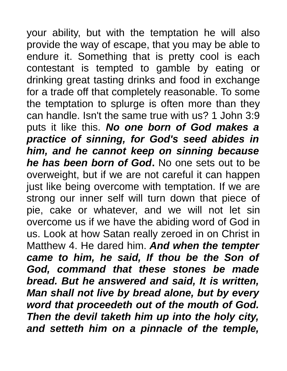your ability, but with the temptation he will also provide the way of escape, that you may be able to endure it. Something that is pretty cool is each contestant is tempted to gamble by eating or drinking great tasting drinks and food in exchange for a trade off that completely reasonable. To some the temptation to splurge is often more than they can handle. Isn't the same true with us? 1 John 3:9 puts it like this. *No one born of God makes a practice of sinning, for God's seed abides in him, and he cannot keep on sinning because he has been born of God***.** No one sets out to be overweight, but if we are not careful it can happen just like being overcome with temptation. If we are strong our inner self will turn down that piece of pie, cake or whatever, and we will not let sin overcome us if we have the abiding word of God in us. Look at how Satan really zeroed in on Christ in Matthew 4. He dared him. *And when the tempter came to him, he said, If thou be the Son of God, command that these stones be made bread. But he answered and said, It is written, Man shall not live by bread alone, but by every word that proceedeth out of the mouth of God. Then the devil taketh him up into the holy city, and setteth him on a pinnacle of the temple,*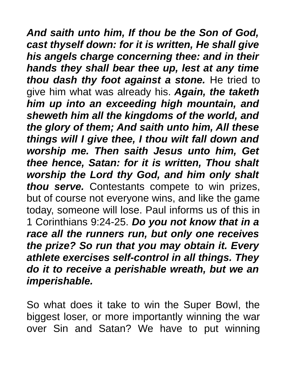*And saith unto him, If thou be the Son of God, cast thyself down: for it is written, He shall give his angels charge concerning thee: and in their hands they shall bear thee up, lest at any time thou dash thy foot against a stone.* He tried to give him what was already his. *Again, the taketh him up into an exceeding high mountain, and sheweth him all the kingdoms of the world, and the glory of them; And saith unto him, All these things will I give thee, I thou wilt fall down and worship me. Then saith Jesus unto him, Get thee hence, Satan: for it is written, Thou shalt worship the Lord thy God, and him only shalt thou serve.* Contestants compete to win prizes, but of course not everyone wins, and like the game today, someone will lose. Paul informs us of this in 1 Corinthians 9:24-25. *Do you not know that in a race all the runners run, but only one receives the prize? So run that you may obtain it. Every athlete exercises self-control in all things. They do it to receive a perishable wreath, but we an imperishable.* 

So what does it take to win the Super Bowl, the biggest loser, or more importantly winning the war over Sin and Satan? We have to put winning